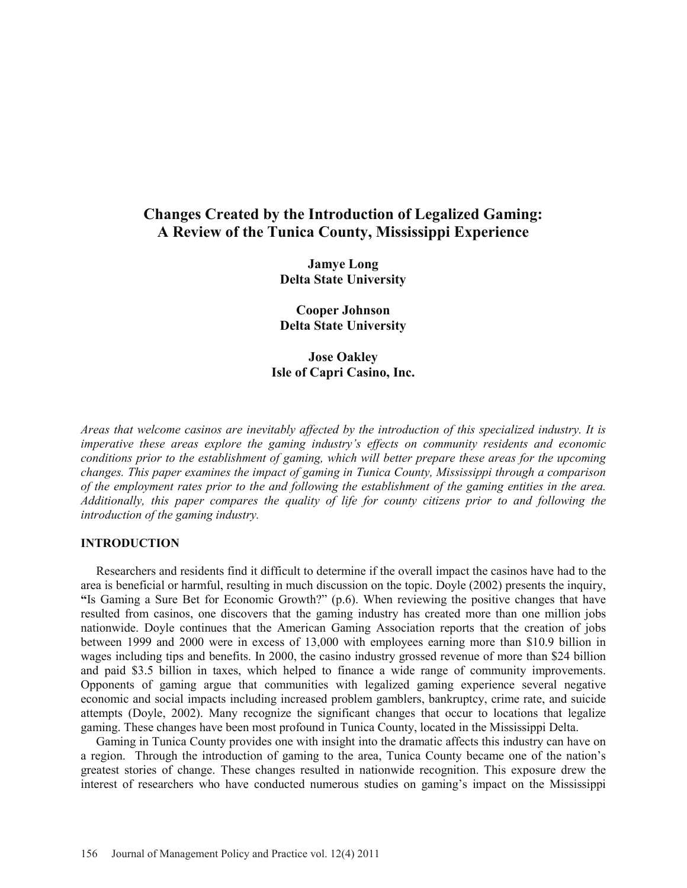# **Changes Created by the Introduction of Legalized Gaming: A Review of the Tunica County, Mississippi Experience**

**Jamye Long Delta State University** 

**Cooper Johnson Delta State University** 

**Jose Oakley Isle of Capri Casino, Inc.** 

*Areas that welcome casinos are inevitably affected by the introduction of this specialized industry. It is imperative these areas explore the gaming industry's effects on community residents and economic conditions prior to the establishment of gaming, which will better prepare these areas for the upcoming changes. This paper examines the impact of gaming in Tunica County, Mississippi through a comparison of the employment rates prior to the and following the establishment of the gaming entities in the area. Additionally, this paper compares the quality of life for county citizens prior to and following the introduction of the gaming industry.* 

# **INTRODUCTION**

 Researchers and residents find it difficult to determine if the overall impact the casinos have had to the area is beneficial or harmful, resulting in much discussion on the topic. Doyle (2002) presents the inquiry, **"**Is Gaming a Sure Bet for Economic Growth?" (p.6). When reviewing the positive changes that have resulted from casinos, one discovers that the gaming industry has created more than one million jobs nationwide. Doyle continues that the American Gaming Association reports that the creation of jobs between 1999 and 2000 were in excess of 13,000 with employees earning more than \$10.9 billion in wages including tips and benefits. In 2000, the casino industry grossed revenue of more than \$24 billion and paid \$3.5 billion in taxes, which helped to finance a wide range of community improvements. Opponents of gaming argue that communities with legalized gaming experience several negative economic and social impacts including increased problem gamblers, bankruptcy, crime rate, and suicide attempts (Doyle, 2002). Many recognize the significant changes that occur to locations that legalize gaming. These changes have been most profound in Tunica County, located in the Mississippi Delta.

 Gaming in Tunica County provides one with insight into the dramatic affects this industry can have on a region. Through the introduction of gaming to the area, Tunica County became one of the nation's greatest stories of change. These changes resulted in nationwide recognition. This exposure drew the interest of researchers who have conducted numerous studies on gaming's impact on the Mississippi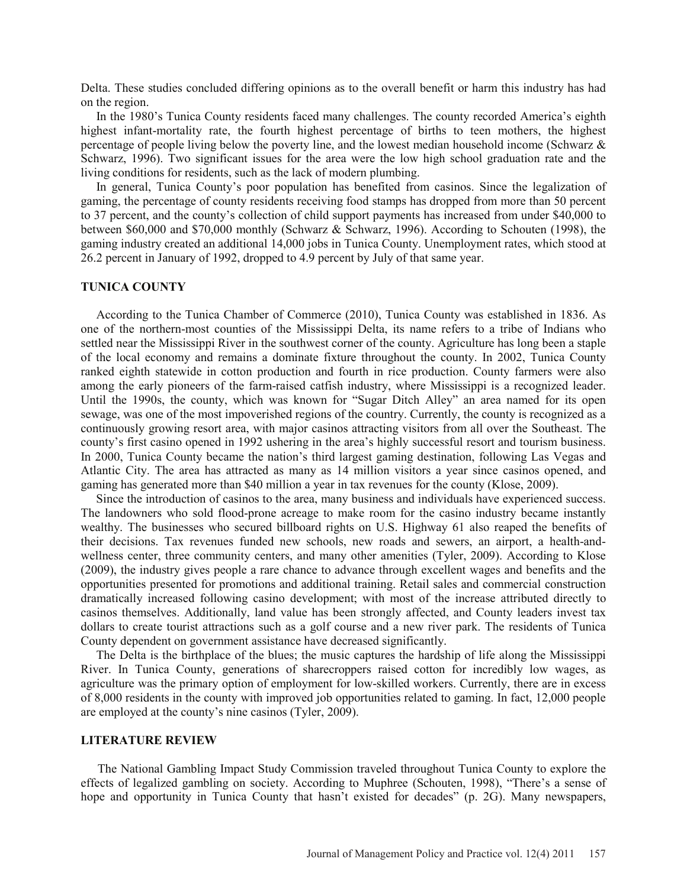Delta. These studies concluded differing opinions as to the overall benefit or harm this industry has had on the region.

 In the 1980's Tunica County residents faced many challenges. The county recorded America's eighth highest infant-mortality rate, the fourth highest percentage of births to teen mothers, the highest percentage of people living below the poverty line, and the lowest median household income (Schwarz  $\&$ Schwarz, 1996). Two significant issues for the area were the low high school graduation rate and the living conditions for residents, such as the lack of modern plumbing.

 In general, Tunica County's poor population has benefited from casinos. Since the legalization of gaming, the percentage of county residents receiving food stamps has dropped from more than 50 percent to 37 percent, and the county's collection of child support payments has increased from under \$40,000 to between \$60,000 and \$70,000 monthly (Schwarz & Schwarz, 1996). According to Schouten (1998), the gaming industry created an additional 14,000 jobs in Tunica County. Unemployment rates, which stood at 26.2 percent in January of 1992, dropped to 4.9 percent by July of that same year.

#### **TUNICA COUNTY**

 According to the Tunica Chamber of Commerce (2010), Tunica County was established in 1836. As one of the northern-most counties of the Mississippi Delta, its name refers to a tribe of Indians who settled near the Mississippi River in the southwest corner of the county. Agriculture has long been a staple of the local economy and remains a dominate fixture throughout the county. In 2002, Tunica County ranked eighth statewide in cotton production and fourth in rice production. County farmers were also among the early pioneers of the farm-raised catfish industry, where Mississippi is a recognized leader. Until the 1990s, the county, which was known for "Sugar Ditch Alley" an area named for its open sewage, was one of the most impoverished regions of the country. Currently, the county is recognized as a continuously growing resort area, with major casinos attracting visitors from all over the Southeast. The county's first casino opened in 1992 ushering in the area's highly successful resort and tourism business. In 2000, Tunica County became the nation's third largest gaming destination, following Las Vegas and Atlantic City. The area has attracted as many as 14 million visitors a year since casinos opened, and gaming has generated more than \$40 million a year in tax revenues for the county (Klose, 2009).

 Since the introduction of casinos to the area, many business and individuals have experienced success. The landowners who sold flood-prone acreage to make room for the casino industry became instantly wealthy. The businesses who secured billboard rights on U.S. Highway 61 also reaped the benefits of their decisions. Tax revenues funded new schools, new roads and sewers, an airport, a health-andwellness center, three community centers, and many other amenities (Tyler, 2009). According to Klose (2009), the industry gives people a rare chance to advance through excellent wages and benefits and the opportunities presented for promotions and additional training. Retail sales and commercial construction dramatically increased following casino development; with most of the increase attributed directly to casinos themselves. Additionally, land value has been strongly affected, and County leaders invest tax dollars to create tourist attractions such as a golf course and a new river park. The residents of Tunica County dependent on government assistance have decreased significantly.

 The Delta is the birthplace of the blues; the music captures the hardship of life along the Mississippi River. In Tunica County, generations of sharecroppers raised cotton for incredibly low wages, as agriculture was the primary option of employment for low-skilled workers. Currently, there are in excess of 8,000 residents in the county with improved job opportunities related to gaming. In fact, 12,000 people are employed at the county's nine casinos (Tyler, 2009).

#### **LITERATURE REVIEW**

 The National Gambling Impact Study Commission traveled throughout Tunica County to explore the effects of legalized gambling on society. According to Muphree (Schouten, 1998), "There's a sense of hope and opportunity in Tunica County that hasn't existed for decades" (p. 2G). Many newspapers,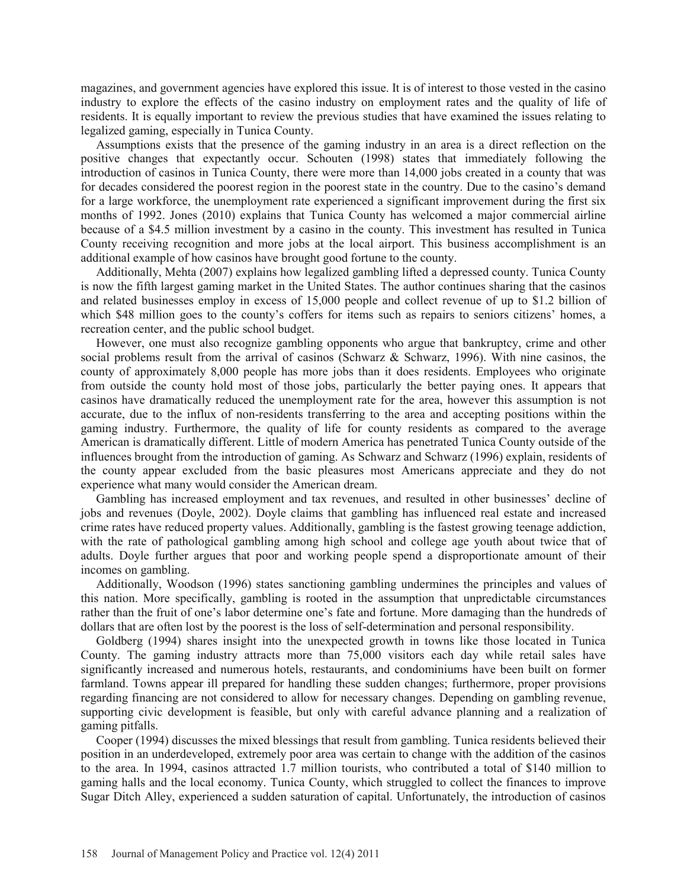magazines, and government agencies have explored this issue. It is of interest to those vested in the casino industry to explore the effects of the casino industry on employment rates and the quality of life of residents. It is equally important to review the previous studies that have examined the issues relating to legalized gaming, especially in Tunica County.

 Assumptions exists that the presence of the gaming industry in an area is a direct reflection on the positive changes that expectantly occur. Schouten (1998) states that immediately following the introduction of casinos in Tunica County, there were more than 14,000 jobs created in a county that was for decades considered the poorest region in the poorest state in the country. Due to the casino's demand for a large workforce, the unemployment rate experienced a significant improvement during the first six months of 1992. Jones (2010) explains that Tunica County has welcomed a major commercial airline because of a \$4.5 million investment by a casino in the county. This investment has resulted in Tunica County receiving recognition and more jobs at the local airport. This business accomplishment is an additional example of how casinos have brought good fortune to the county.

 Additionally, Mehta (2007) explains how legalized gambling lifted a depressed county. Tunica County is now the fifth largest gaming market in the United States. The author continues sharing that the casinos and related businesses employ in excess of 15,000 people and collect revenue of up to \$1.2 billion of which \$48 million goes to the county's coffers for items such as repairs to seniors citizens' homes, a recreation center, and the public school budget.

 However, one must also recognize gambling opponents who argue that bankruptcy, crime and other social problems result from the arrival of casinos (Schwarz & Schwarz, 1996). With nine casinos, the county of approximately 8,000 people has more jobs than it does residents. Employees who originate from outside the county hold most of those jobs, particularly the better paying ones. It appears that casinos have dramatically reduced the unemployment rate for the area, however this assumption is not accurate, due to the influx of non-residents transferring to the area and accepting positions within the gaming industry. Furthermore, the quality of life for county residents as compared to the average American is dramatically different. Little of modern America has penetrated Tunica County outside of the influences brought from the introduction of gaming. As Schwarz and Schwarz (1996) explain, residents of the county appear excluded from the basic pleasures most Americans appreciate and they do not experience what many would consider the American dream.

 Gambling has increased employment and tax revenues, and resulted in other businesses' decline of jobs and revenues (Doyle, 2002). Doyle claims that gambling has influenced real estate and increased crime rates have reduced property values. Additionally, gambling is the fastest growing teenage addiction, with the rate of pathological gambling among high school and college age youth about twice that of adults. Doyle further argues that poor and working people spend a disproportionate amount of their incomes on gambling.

 Additionally, Woodson (1996) states sanctioning gambling undermines the principles and values of this nation. More specifically, gambling is rooted in the assumption that unpredictable circumstances rather than the fruit of one's labor determine one's fate and fortune. More damaging than the hundreds of dollars that are often lost by the poorest is the loss of self-determination and personal responsibility.

 Goldberg (1994) shares insight into the unexpected growth in towns like those located in Tunica County. The gaming industry attracts more than 75,000 visitors each day while retail sales have significantly increased and numerous hotels, restaurants, and condominiums have been built on former farmland. Towns appear ill prepared for handling these sudden changes; furthermore, proper provisions regarding financing are not considered to allow for necessary changes. Depending on gambling revenue, supporting civic development is feasible, but only with careful advance planning and a realization of gaming pitfalls.

 Cooper (1994) discusses the mixed blessings that result from gambling. Tunica residents believed their position in an underdeveloped, extremely poor area was certain to change with the addition of the casinos to the area. In 1994, casinos attracted 1.7 million tourists, who contributed a total of \$140 million to gaming halls and the local economy. Tunica County, which struggled to collect the finances to improve Sugar Ditch Alley, experienced a sudden saturation of capital. Unfortunately, the introduction of casinos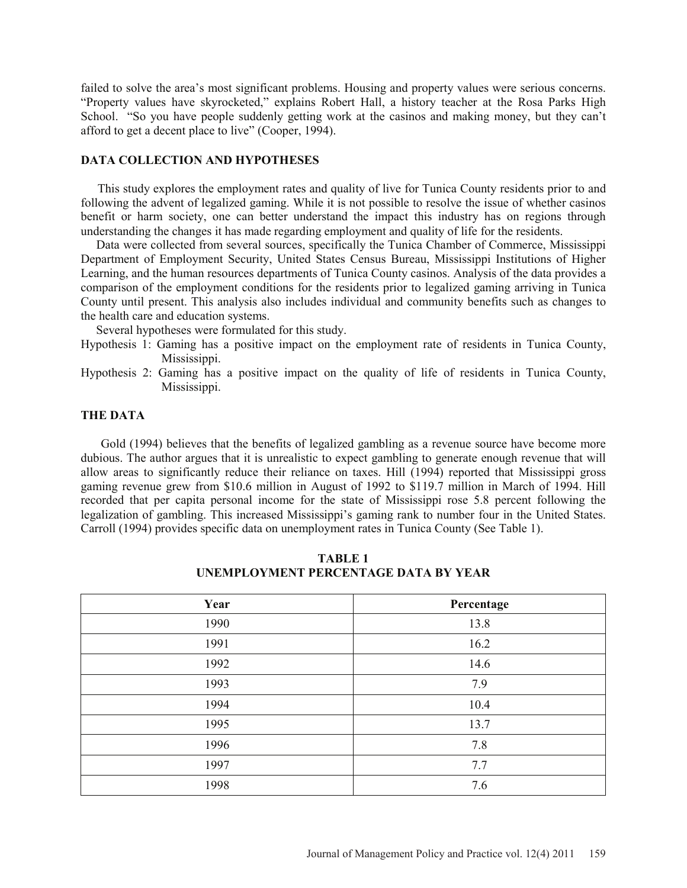failed to solve the area's most significant problems. Housing and property values were serious concerns. "Property values have skyrocketed," explains Robert Hall, a history teacher at the Rosa Parks High School. "So you have people suddenly getting work at the casinos and making money, but they can't afford to get a decent place to live" (Cooper, 1994).

# **DATA COLLECTION AND HYPOTHESES**

 This study explores the employment rates and quality of live for Tunica County residents prior to and following the advent of legalized gaming. While it is not possible to resolve the issue of whether casinos benefit or harm society, one can better understand the impact this industry has on regions through understanding the changes it has made regarding employment and quality of life for the residents.

 Data were collected from several sources, specifically the Tunica Chamber of Commerce, Mississippi Department of Employment Security, United States Census Bureau, Mississippi Institutions of Higher Learning, and the human resources departments of Tunica County casinos. Analysis of the data provides a comparison of the employment conditions for the residents prior to legalized gaming arriving in Tunica County until present. This analysis also includes individual and community benefits such as changes to the health care and education systems.

Several hypotheses were formulated for this study.

- Hypothesis 1: Gaming has a positive impact on the employment rate of residents in Tunica County, Mississippi.
- Hypothesis 2: Gaming has a positive impact on the quality of life of residents in Tunica County, Mississippi.

#### **THE DATA**

 Gold (1994) believes that the benefits of legalized gambling as a revenue source have become more dubious. The author argues that it is unrealistic to expect gambling to generate enough revenue that will allow areas to significantly reduce their reliance on taxes. Hill (1994) reported that Mississippi gross gaming revenue grew from \$10.6 million in August of 1992 to \$119.7 million in March of 1994. Hill recorded that per capita personal income for the state of Mississippi rose 5.8 percent following the legalization of gambling. This increased Mississippi's gaming rank to number four in the United States. Carroll (1994) provides specific data on unemployment rates in Tunica County (See Table 1).

| Year | Percentage |
|------|------------|
| 1990 | 13.8       |
| 1991 | 16.2       |
| 1992 | 14.6       |
| 1993 | 7.9        |
| 1994 | 10.4       |
| 1995 | 13.7       |
| 1996 | 7.8        |
| 1997 | 7.7        |
| 1998 | 7.6        |

**TABLE 1 UNEMPLOYMENT PERCENTAGE DATA BY YEAR**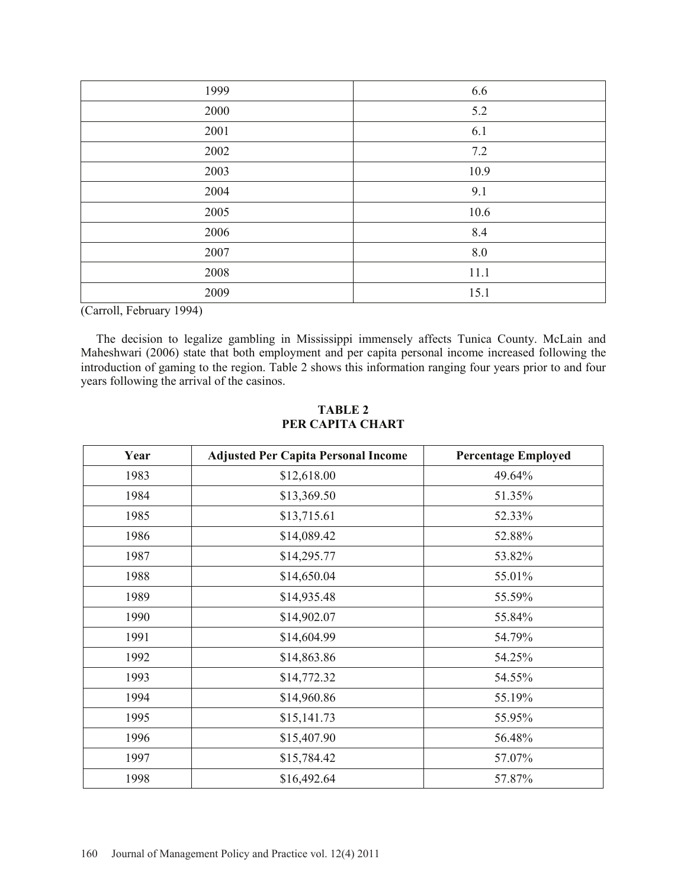| 1999 | 6.6  |
|------|------|
| 2000 | 5.2  |
| 2001 | 6.1  |
| 2002 | 7.2  |
| 2003 | 10.9 |
| 2004 | 9.1  |
| 2005 | 10.6 |
| 2006 | 8.4  |
| 2007 | 8.0  |
| 2008 | 11.1 |
| 2009 | 15.1 |

(Carroll, February 1994)

 The decision to legalize gambling in Mississippi immensely affects Tunica County. McLain and Maheshwari (2006) state that both employment and per capita personal income increased following the introduction of gaming to the region. Table 2 shows this information ranging four years prior to and four years following the arrival of the casinos.

| Year | <b>Adjusted Per Capita Personal Income</b> | <b>Percentage Employed</b> |
|------|--------------------------------------------|----------------------------|
| 1983 | \$12,618.00                                | 49.64%                     |
| 1984 | \$13,369.50                                | 51.35%                     |
| 1985 | \$13,715.61                                | 52.33%                     |
| 1986 | \$14,089.42                                | 52.88%                     |
| 1987 | \$14,295.77                                | 53.82%                     |
| 1988 | \$14,650.04                                | 55.01%                     |
| 1989 | \$14,935.48                                | 55.59%                     |
| 1990 | \$14,902.07                                | 55.84%                     |
| 1991 | \$14,604.99                                | 54.79%                     |
| 1992 | \$14,863.86                                | 54.25%                     |
| 1993 | \$14,772.32                                | 54.55%                     |
| 1994 | \$14,960.86                                | 55.19%                     |
| 1995 | \$15,141.73                                | 55.95%                     |
| 1996 | \$15,407.90                                | 56.48%                     |
| 1997 | \$15,784.42                                | 57.07%                     |
| 1998 | \$16,492.64                                | 57.87%                     |

# **TABLE 2 PER CAPITA CHART**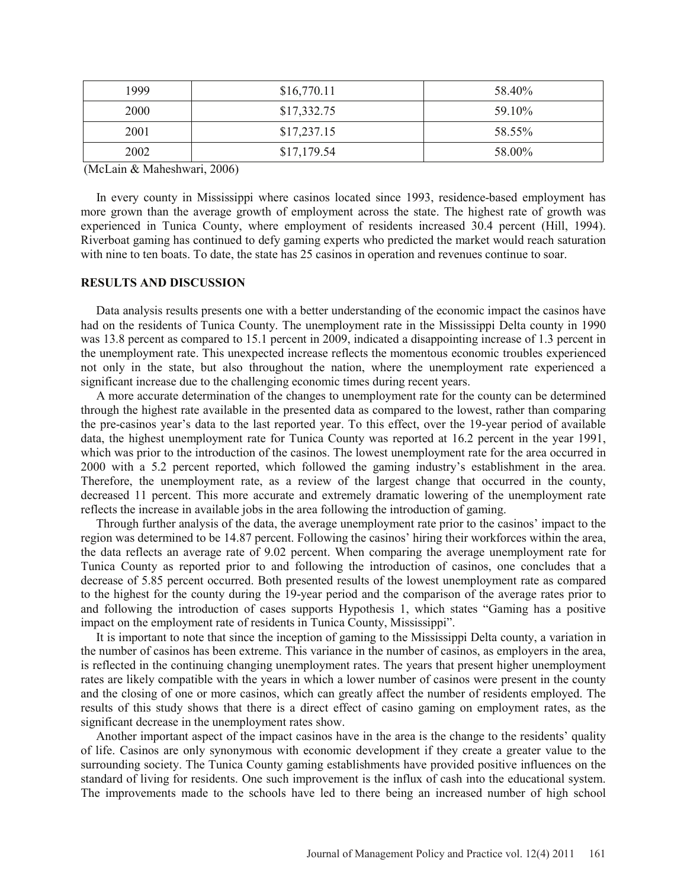| 1999 | \$16,770.11 | 58.40% |
|------|-------------|--------|
| 2000 | \$17,332.75 | 59.10% |
| 2001 | \$17,237.15 | 58.55% |
| 2002 | \$17,179.54 | 58.00% |

(McLain & Maheshwari, 2006)

 In every county in Mississippi where casinos located since 1993, residence-based employment has more grown than the average growth of employment across the state. The highest rate of growth was experienced in Tunica County, where employment of residents increased 30.4 percent (Hill, 1994). Riverboat gaming has continued to defy gaming experts who predicted the market would reach saturation with nine to ten boats. To date, the state has 25 casinos in operation and revenues continue to soar.

#### **RESULTS AND DISCUSSION**

 Data analysis results presents one with a better understanding of the economic impact the casinos have had on the residents of Tunica County. The unemployment rate in the Mississippi Delta county in 1990 was 13.8 percent as compared to 15.1 percent in 2009, indicated a disappointing increase of 1.3 percent in the unemployment rate. This unexpected increase reflects the momentous economic troubles experienced not only in the state, but also throughout the nation, where the unemployment rate experienced a significant increase due to the challenging economic times during recent years.

 A more accurate determination of the changes to unemployment rate for the county can be determined through the highest rate available in the presented data as compared to the lowest, rather than comparing the pre-casinos year's data to the last reported year. To this effect, over the 19-year period of available data, the highest unemployment rate for Tunica County was reported at 16.2 percent in the year 1991, which was prior to the introduction of the casinos. The lowest unemployment rate for the area occurred in 2000 with a 5.2 percent reported, which followed the gaming industry's establishment in the area. Therefore, the unemployment rate, as a review of the largest change that occurred in the county, decreased 11 percent. This more accurate and extremely dramatic lowering of the unemployment rate reflects the increase in available jobs in the area following the introduction of gaming.

 Through further analysis of the data, the average unemployment rate prior to the casinos' impact to the region was determined to be 14.87 percent. Following the casinos' hiring their workforces within the area, the data reflects an average rate of 9.02 percent. When comparing the average unemployment rate for Tunica County as reported prior to and following the introduction of casinos, one concludes that a decrease of 5.85 percent occurred. Both presented results of the lowest unemployment rate as compared to the highest for the county during the 19-year period and the comparison of the average rates prior to and following the introduction of cases supports Hypothesis 1, which states "Gaming has a positive impact on the employment rate of residents in Tunica County, Mississippi".

 It is important to note that since the inception of gaming to the Mississippi Delta county, a variation in the number of casinos has been extreme. This variance in the number of casinos, as employers in the area, is reflected in the continuing changing unemployment rates. The years that present higher unemployment rates are likely compatible with the years in which a lower number of casinos were present in the county and the closing of one or more casinos, which can greatly affect the number of residents employed. The results of this study shows that there is a direct effect of casino gaming on employment rates, as the significant decrease in the unemployment rates show.

 Another important aspect of the impact casinos have in the area is the change to the residents' quality of life. Casinos are only synonymous with economic development if they create a greater value to the surrounding society. The Tunica County gaming establishments have provided positive influences on the standard of living for residents. One such improvement is the influx of cash into the educational system. The improvements made to the schools have led to there being an increased number of high school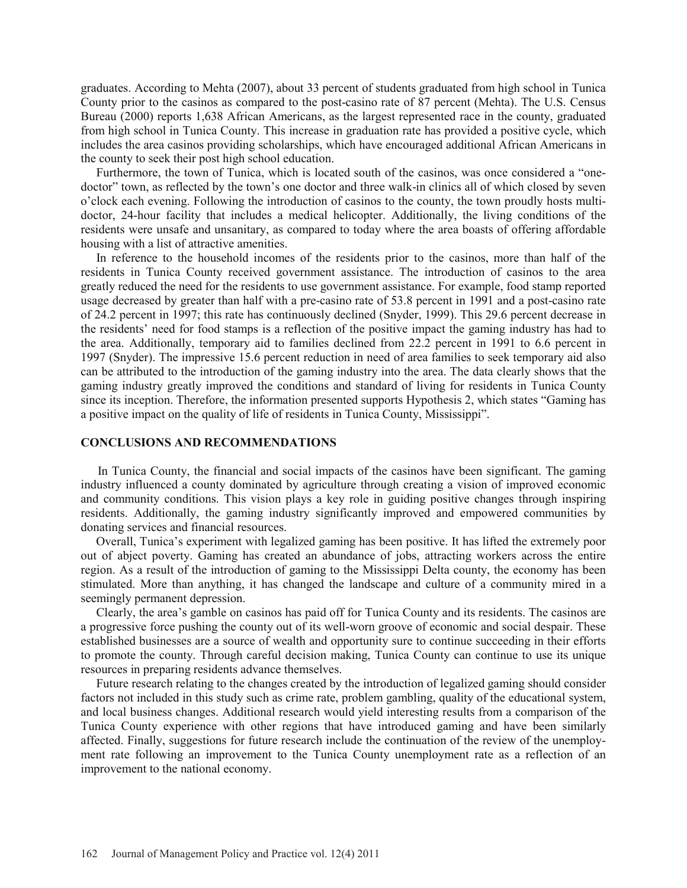graduates. According to Mehta (2007), about 33 percent of students graduated from high school in Tunica County prior to the casinos as compared to the post-casino rate of 87 percent (Mehta). The U.S. Census Bureau (2000) reports 1,638 African Americans, as the largest represented race in the county, graduated from high school in Tunica County. This increase in graduation rate has provided a positive cycle, which includes the area casinos providing scholarships, which have encouraged additional African Americans in the county to seek their post high school education.

 Furthermore, the town of Tunica, which is located south of the casinos, was once considered a "onedoctor" town, as reflected by the town's one doctor and three walk-in clinics all of which closed by seven o'clock each evening. Following the introduction of casinos to the county, the town proudly hosts multidoctor, 24-hour facility that includes a medical helicopter. Additionally, the living conditions of the residents were unsafe and unsanitary, as compared to today where the area boasts of offering affordable housing with a list of attractive amenities.

 In reference to the household incomes of the residents prior to the casinos, more than half of the residents in Tunica County received government assistance. The introduction of casinos to the area greatly reduced the need for the residents to use government assistance. For example, food stamp reported usage decreased by greater than half with a pre-casino rate of 53.8 percent in 1991 and a post-casino rate of 24.2 percent in 1997; this rate has continuously declined (Snyder, 1999). This 29.6 percent decrease in the residents' need for food stamps is a reflection of the positive impact the gaming industry has had to the area. Additionally, temporary aid to families declined from 22.2 percent in 1991 to 6.6 percent in 1997 (Snyder). The impressive 15.6 percent reduction in need of area families to seek temporary aid also can be attributed to the introduction of the gaming industry into the area. The data clearly shows that the gaming industry greatly improved the conditions and standard of living for residents in Tunica County since its inception. Therefore, the information presented supports Hypothesis 2, which states "Gaming has a positive impact on the quality of life of residents in Tunica County, Mississippi".

# **CONCLUSIONS AND RECOMMENDATIONS**

 In Tunica County, the financial and social impacts of the casinos have been significant. The gaming industry influenced a county dominated by agriculture through creating a vision of improved economic and community conditions. This vision plays a key role in guiding positive changes through inspiring residents. Additionally, the gaming industry significantly improved and empowered communities by donating services and financial resources.

 Overall, Tunica's experiment with legalized gaming has been positive. It has lifted the extremely poor out of abject poverty. Gaming has created an abundance of jobs, attracting workers across the entire region. As a result of the introduction of gaming to the Mississippi Delta county, the economy has been stimulated. More than anything, it has changed the landscape and culture of a community mired in a seemingly permanent depression.

 Clearly, the area's gamble on casinos has paid off for Tunica County and its residents. The casinos are a progressive force pushing the county out of its well-worn groove of economic and social despair. These established businesses are a source of wealth and opportunity sure to continue succeeding in their efforts to promote the county. Through careful decision making, Tunica County can continue to use its unique resources in preparing residents advance themselves.

 Future research relating to the changes created by the introduction of legalized gaming should consider factors not included in this study such as crime rate, problem gambling, quality of the educational system, and local business changes. Additional research would yield interesting results from a comparison of the Tunica County experience with other regions that have introduced gaming and have been similarly affected. Finally, suggestions for future research include the continuation of the review of the unemployment rate following an improvement to the Tunica County unemployment rate as a reflection of an improvement to the national economy.